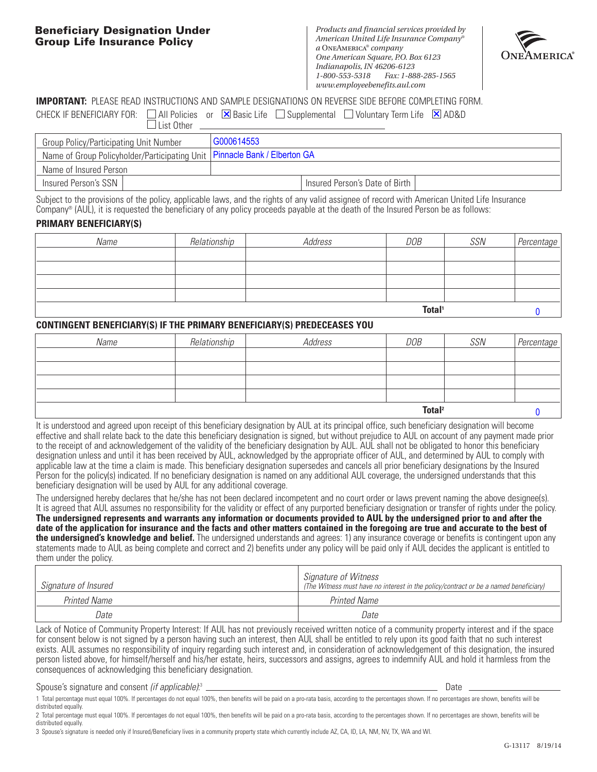## **Beneficiary Designation Under Group Life Insurance Policy**

*Products and financial services provided by American United Life Insurance Company® <sup>a</sup>*OneAmerica*® company One American Square, P.O. Box 6123 Indianapolis, IN 46206-6123 1-800-553-5318 Fax: 1-888-285-1565 www.employeebenefits.aul.com*



### **IMPORTANT:** PLEASE READ INSTRUCTIONS AND SAMPLE DESIGNATIONS ON REVERSE SIDE BEFORE COMPLETING FORM.

| $\Box$ List Other                                                           | CHECK IF BENEFICIARY FOR: $\Box$ All Policies or $\boxtimes$ Basic Life $\Box$ Supplemental $\Box$ Voluntary Term Life $\boxtimes$ AD&D |
|-----------------------------------------------------------------------------|-----------------------------------------------------------------------------------------------------------------------------------------|
| <b>Group Policy/Participating Unit Number</b>                               | l G000614553                                                                                                                            |
| Name of Group Policyholder/Participating Unit   Pinnacle Bank / Elberton GA |                                                                                                                                         |
| Name of Insured Person                                                      |                                                                                                                                         |
| Insured Person's SSN                                                        | Insured Person's Date of Birth                                                                                                          |

Subject to the provisions of the policy, applicable laws, and the rights of any valid assignee of record with American United Life Insurance Company® (AUL), it is requested the beneficiary of any policy proceeds payable at the death of the Insured Person be as follows:

#### **PRIMARY BENEFICIARY(S)**

| Name | Relationship | Address | DOB                | SSN | Percentage |
|------|--------------|---------|--------------------|-----|------------|
|      |              |         |                    |     |            |
|      |              |         |                    |     |            |
|      |              |         |                    |     |            |
|      |              |         |                    |     |            |
|      |              |         | Total <sup>1</sup> |     |            |

#### **CONTINGENT BENEFICIARY(S) IF THE PRIMARY BENEFICIARY(S) PREDECEASES YOU**

| Name               | Relationship | Address | <b>DOB</b> | SSN | Percentage |
|--------------------|--------------|---------|------------|-----|------------|
|                    |              |         |            |     |            |
|                    |              |         |            |     |            |
|                    |              |         |            |     |            |
|                    |              |         |            |     |            |
| Total <sup>2</sup> |              |         |            |     |            |

It is understood and agreed upon receipt of this beneficiary designation by AUL at its principal office, such beneficiary designation will become effective and shall relate back to the date this beneficiary designation is signed, but without prejudice to AUL on account of any payment made prior to the receipt of and acknowledgement of the validity of the beneficiary designation by AUL. AUL shall not be obligated to honor this beneficiary designation unless and until it has been received by AUL, acknowledged by the appropriate officer of AUL, and determined by AUL to comply with applicable law at the time a claim is made. This beneficiary designation supersedes and cancels all prior beneficiary designations by the Insured Person for the policy(s) indicated. If no beneficiary designation is named on any additional AUL coverage, the undersigned understands that this beneficiary designation will be used by AUL for any additional coverage.

The undersigned hereby declares that he/she has not been declared incompetent and no court order or laws prevent naming the above designee(s). It is agreed that AUL assumes no responsibility for the validity or effect of any purported beneficiary designation or transfer of rights under the policy. **The undersigned represents and warrants any information or documents provided to AUL by the undersigned prior to and after the date of the application for insurance and the facts and other matters contained in the foregoing are true and accurate to the best of the undersigned's knowledge and belief.** The undersigned understands and agrees: 1) any insurance coverage or benefits is contingent upon any statements made to AUL as being complete and correct and 2) benefits under any policy will be paid only if AUL decides the applicant is entitled to them under the policy.

| Sianature of Insured | <b>Signature of Witness</b><br>(The Witness must have no interest in the policy/contract or be a named beneficiary) |
|----------------------|---------------------------------------------------------------------------------------------------------------------|
| Printed Name         | Printed Name                                                                                                        |
| Date                 | Date                                                                                                                |

Lack of Notice of Community Property Interest: If AUL has not previously received written notice of a community property interest and if the space for consent below is not signed by a person having such an interest, then AUL shall be entitled to rely upon its good faith that no such interest exists. AUL assumes no responsibility of inquiry regarding such interest and, in consideration of acknowledgement of this designation, the insured person listed above, for himself/herself and his/her estate, heirs, successors and assigns, agrees to indemnify AUL and hold it harmless from the consequences of acknowledging this beneficiary designation.

Spouse's signature and consent *(if applicable)*:

<sup>3</sup> Date

- 1 Total percentage must equal 100%. If percentages do not equal 100%, then benefits will be paid on a pro-rata basis, according to the percentages shown. If no percentages are shown, benefits will be distributed equally.
- 2 Total percentage must equal 100%. If percentages do not equal 100%, then benefits will be paid on a pro-rata basis, according to the percentages shown. If no percentages are shown, benefits will be distributed equally.
- 3 Spouse's signature is needed only if Insured/Beneficiary lives in a community property state which currently include AZ, CA, ID, LA, NM, NV, TX, WA and WI.